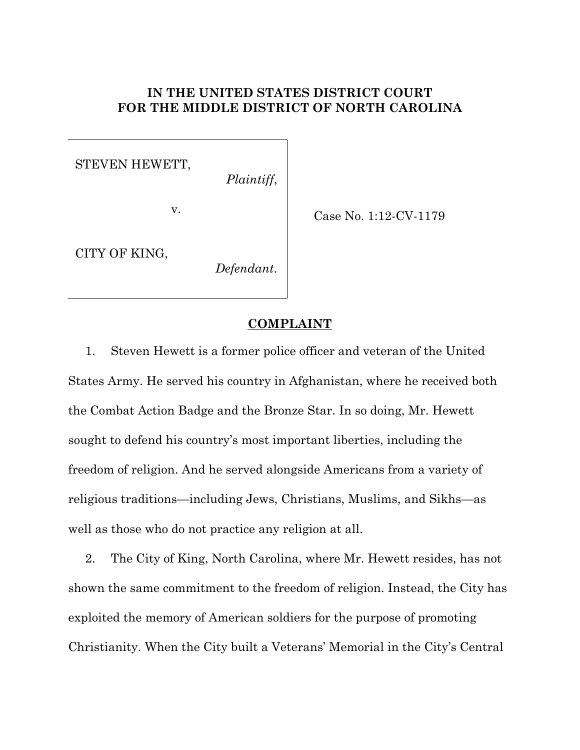## **IN THE UNITED STATES DISTRICT COURT FOR THE MIDDLE DISTRICT OF NORTH CAROLINA**

STEVEN HEWETT,

*Plaintiff*,

v.

Case No. 1:12-CV-1179

CITY OF KING,

*Defendant*.

#### **COMPLAINT**

1. Steven Hewett is a former police officer and veteran of the United States Army. He served his country in Afghanistan, where he received both the Combat Action Badge and the Bronze Star. In so doing, Mr. Hewett sought to defend his country's most important liberties, including the freedom of religion. And he served alongside Americans from a variety of religious traditions—including Jews, Christians, Muslims, and Sikhs—as well as those who do not practice any religion at all.

2. The City of King, North Carolina, where Mr. Hewett resides, has not shown the same commitment to the freedom of religion. Instead, the City has exploited the memory of American soldiers for the purpose of promoting Christianity. When the City built a Veterans' Memorial in the City's Central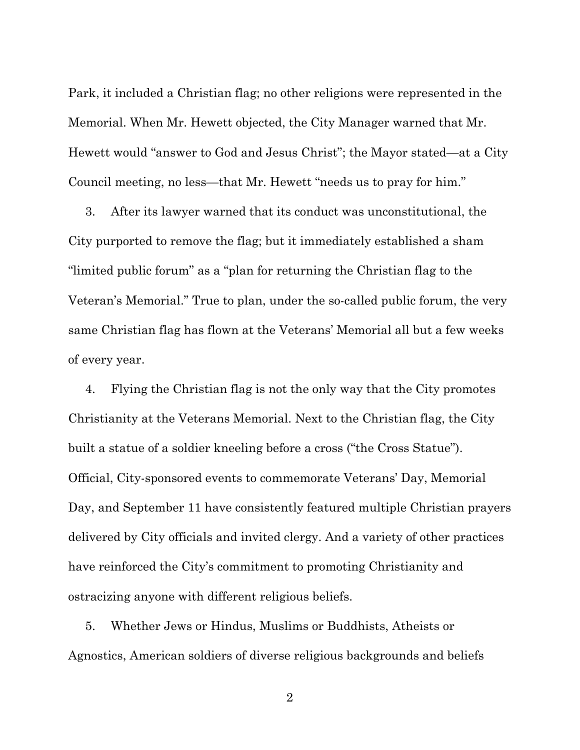Park, it included a Christian flag; no other religions were represented in the Memorial. When Mr. Hewett objected, the City Manager warned that Mr. Hewett would "answer to God and Jesus Christ"; the Mayor stated—at a City Council meeting, no less—that Mr. Hewett "needs us to pray for him."

3. After its lawyer warned that its conduct was unconstitutional, the City purported to remove the flag; but it immediately established a sham "limited public forum" as a "plan for returning the Christian flag to the Veteran's Memorial." True to plan, under the so-called public forum, the very same Christian flag has flown at the Veterans' Memorial all but a few weeks of every year.

4. Flying the Christian flag is not the only way that the City promotes Christianity at the Veterans Memorial. Next to the Christian flag, the City built a statue of a soldier kneeling before a cross ("the Cross Statue"). Official, City-sponsored events to commemorate Veterans' Day, Memorial Day, and September 11 have consistently featured multiple Christian prayers delivered by City officials and invited clergy. And a variety of other practices have reinforced the City's commitment to promoting Christianity and ostracizing anyone with different religious beliefs.

5. Whether Jews or Hindus, Muslims or Buddhists, Atheists or Agnostics, American soldiers of diverse religious backgrounds and beliefs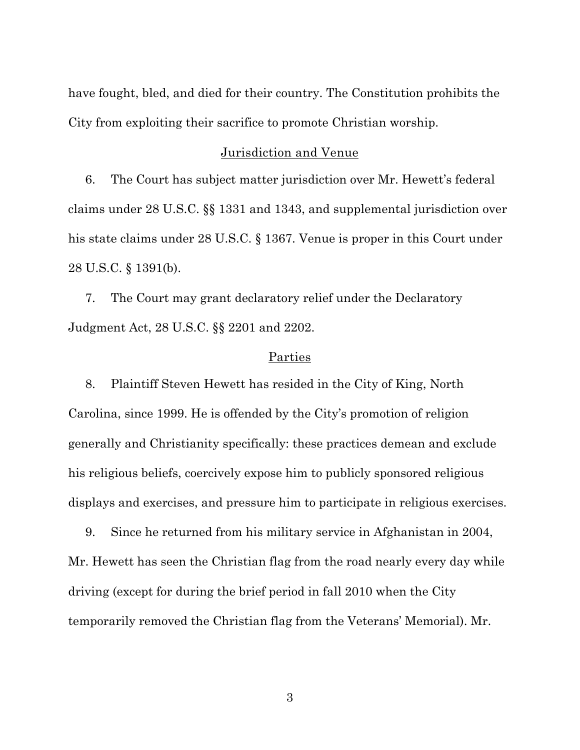have fought, bled, and died for their country. The Constitution prohibits the City from exploiting their sacrifice to promote Christian worship.

#### Jurisdiction and Venue

6. The Court has subject matter jurisdiction over Mr. Hewett's federal claims under 28 U.S.C. §§ 1331 and 1343, and supplemental jurisdiction over his state claims under 28 U.S.C. § 1367. Venue is proper in this Court under 28 U.S.C. § 1391(b).

7. The Court may grant declaratory relief under the Declaratory Judgment Act, 28 U.S.C. §§ 2201 and 2202.

#### Parties

8. Plaintiff Steven Hewett has resided in the City of King, North Carolina, since 1999. He is offended by the City's promotion of religion generally and Christianity specifically: these practices demean and exclude his religious beliefs, coercively expose him to publicly sponsored religious displays and exercises, and pressure him to participate in religious exercises.

9. Since he returned from his military service in Afghanistan in 2004, Mr. Hewett has seen the Christian flag from the road nearly every day while driving (except for during the brief period in fall 2010 when the City temporarily removed the Christian flag from the Veterans' Memorial). Mr.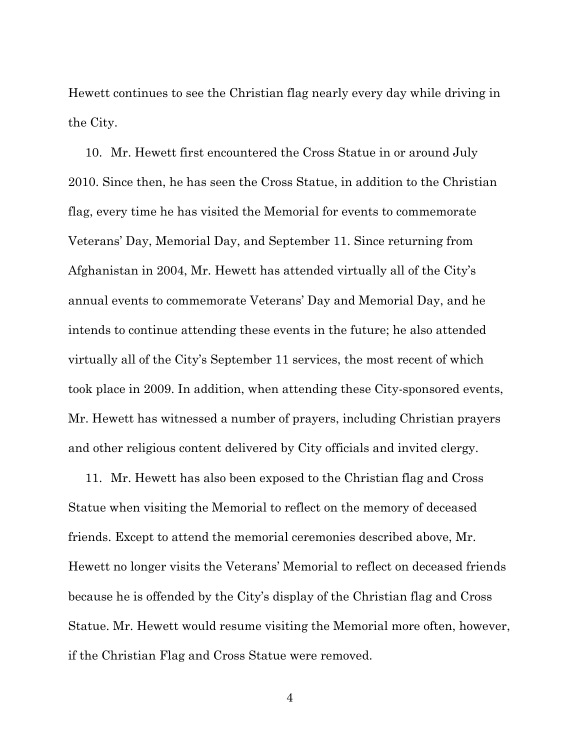Hewett continues to see the Christian flag nearly every day while driving in the City.

10. Mr. Hewett first encountered the Cross Statue in or around July 2010. Since then, he has seen the Cross Statue, in addition to the Christian flag, every time he has visited the Memorial for events to commemorate Veterans' Day, Memorial Day, and September 11. Since returning from Afghanistan in 2004, Mr. Hewett has attended virtually all of the City's annual events to commemorate Veterans' Day and Memorial Day, and he intends to continue attending these events in the future; he also attended virtually all of the City's September 11 services, the most recent of which took place in 2009. In addition, when attending these City-sponsored events, Mr. Hewett has witnessed a number of prayers, including Christian prayers and other religious content delivered by City officials and invited clergy.

11. Mr. Hewett has also been exposed to the Christian flag and Cross Statue when visiting the Memorial to reflect on the memory of deceased friends. Except to attend the memorial ceremonies described above, Mr. Hewett no longer visits the Veterans' Memorial to reflect on deceased friends because he is offended by the City's display of the Christian flag and Cross Statue. Mr. Hewett would resume visiting the Memorial more often, however, if the Christian Flag and Cross Statue were removed.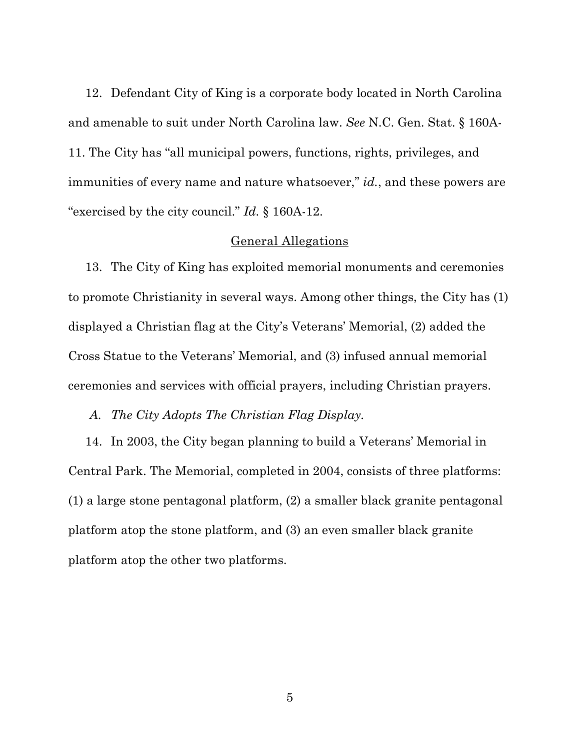12. Defendant City of King is a corporate body located in North Carolina and amenable to suit under North Carolina law. *See* N.C. Gen. Stat. § 160A-11. The City has "all municipal powers, functions, rights, privileges, and immunities of every name and nature whatsoever," *id.*, and these powers are "exercised by the city council." *Id.* § 160A-12.

#### General Allegations

13. The City of King has exploited memorial monuments and ceremonies to promote Christianity in several ways. Among other things, the City has (1) displayed a Christian flag at the City's Veterans' Memorial, (2) added the Cross Statue to the Veterans' Memorial, and (3) infused annual memorial ceremonies and services with official prayers, including Christian prayers.

*A. The City Adopts The Christian Flag Display.*

14. In 2003, the City began planning to build a Veterans' Memorial in Central Park. The Memorial, completed in 2004, consists of three platforms: (1) a large stone pentagonal platform, (2) a smaller black granite pentagonal platform atop the stone platform, and (3) an even smaller black granite platform atop the other two platforms.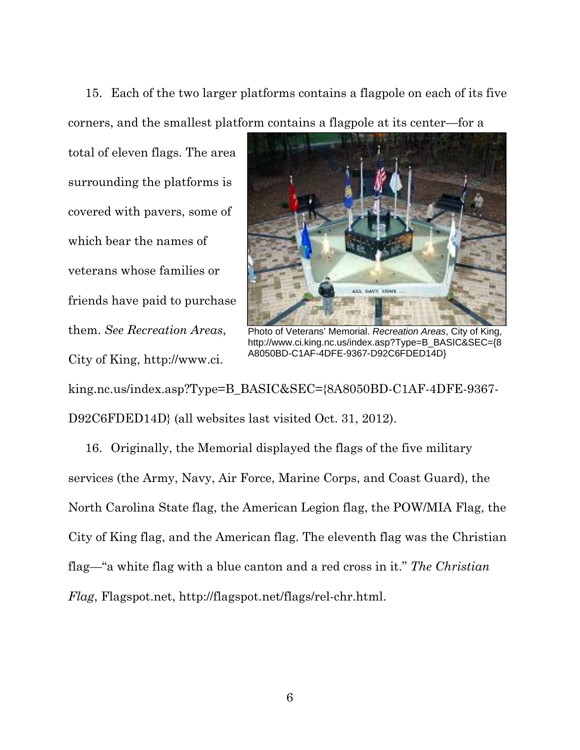15. Each of the two larger platforms contains a flagpole on each of its five corners, and the smallest platform contains a flagpole at its center—for a

total of eleven flags. The area surrounding the platforms is covered with pavers, some of which bear the names of veterans whose families or friends have paid to purchase them. *See Recreation Areas*, City of King, http://www.ci.



Photo of Veterans' Memorial. *Recreation Areas*, City of King, http://www.ci.king.nc.us/index.asp?Type=B\_BASIC&SEC={8 A8050BD-C1AF-4DFE-9367-D92C6FDED14D}

king.nc.us/index.asp?Type=B\_BASIC&SEC={8A8050BD-C1AF-4DFE-9367- D92C6FDED14D} (all websites last visited Oct. 31, 2012).

16. Originally, the Memorial displayed the flags of the five military services (the Army, Navy, Air Force, Marine Corps, and Coast Guard), the North Carolina State flag, the American Legion flag, the POW/MIA Flag, the City of King flag, and the American flag. The eleventh flag was the Christian flag—"a white flag with a blue canton and a red cross in it." *The Christian Flag*, Flagspot.net, http://flagspot.net/flags/rel-chr.html.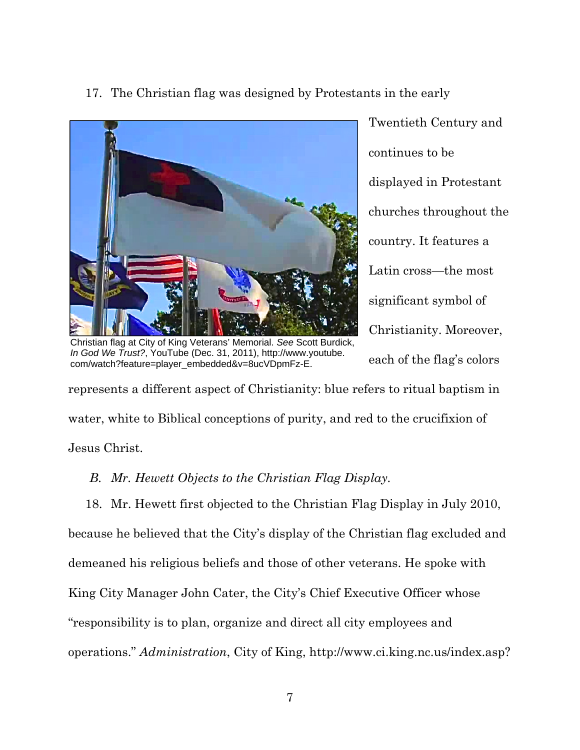17. The Christian flag was designed by Protestants in the early



Christian flag at City of King Veterans' Memorial. *See* Scott Burdick, *In God We Trust?*, YouTube (Dec. 31, 2011), http://www.youtube. com/watch?feature=player\_embedded&v=8ucVDpmFz-E.

Twentieth Century and continues to be displayed in Protestant churches throughout the country. It features a Latin cross—the most significant symbol of Christianity. Moreover, each of the flag's colors

represents a different aspect of Christianity: blue refers to ritual baptism in water, white to Biblical conceptions of purity, and red to the crucifixion of Jesus Christ.

# *B. Mr. Hewett Objects to the Christian Flag Display.*

18. Mr. Hewett first objected to the Christian Flag Display in July 2010, because he believed that the City's display of the Christian flag excluded and demeaned his religious beliefs and those of other veterans. He spoke with King City Manager John Cater, the City's Chief Executive Officer whose "responsibility is to plan, organize and direct all city employees and operations." *Administration*, City of King, http://www.ci.king.nc.us/index.asp?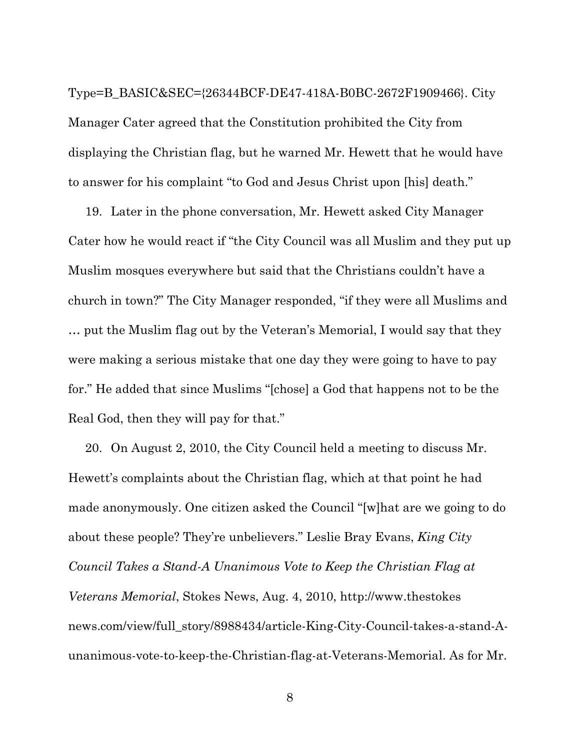Type=B\_BASIC&SEC={26344BCF-DE47-418A-B0BC-2672F1909466}. City Manager Cater agreed that the Constitution prohibited the City from displaying the Christian flag, but he warned Mr. Hewett that he would have to answer for his complaint "to God and Jesus Christ upon [his] death."

19. Later in the phone conversation, Mr. Hewett asked City Manager Cater how he would react if "the City Council was all Muslim and they put up Muslim mosques everywhere but said that the Christians couldn't have a church in town?" The City Manager responded, "if they were all Muslims and … put the Muslim flag out by the Veteran's Memorial, I would say that they were making a serious mistake that one day they were going to have to pay for." He added that since Muslims "[chose] a God that happens not to be the Real God, then they will pay for that."

20. On August 2, 2010, the City Council held a meeting to discuss Mr. Hewett's complaints about the Christian flag, which at that point he had made anonymously. One citizen asked the Council "[w]hat are we going to do about these people? They're unbelievers." Leslie Bray Evans, *King City Council Takes a Stand-A Unanimous Vote to Keep the Christian Flag at Veterans Memorial*, Stokes News, Aug. 4, 2010, http://www.thestokes news.com/view/full\_story/8988434/article-King-City-Council-takes-a-stand-Aunanimous-vote-to-keep-the-Christian-flag-at-Veterans-Memorial. As for Mr.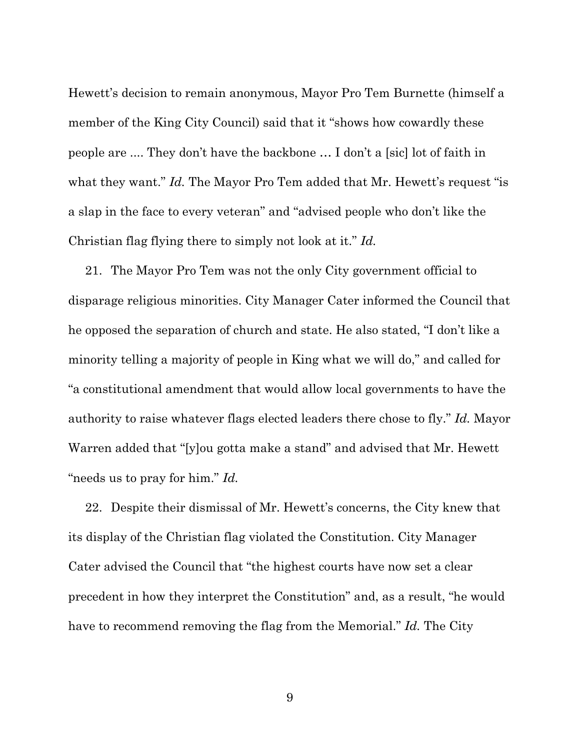Hewett's decision to remain anonymous, Mayor Pro Tem Burnette (himself a member of the King City Council) said that it "shows how cowardly these people are .... They don't have the backbone … I don't a [sic] lot of faith in what they want." *Id.* The Mayor Pro Tem added that Mr. Hewett's request "is a slap in the face to every veteran" and "advised people who don't like the Christian flag flying there to simply not look at it." *Id.* 

21. The Mayor Pro Tem was not the only City government official to disparage religious minorities. City Manager Cater informed the Council that he opposed the separation of church and state. He also stated, "I don't like a minority telling a majority of people in King what we will do," and called for "a constitutional amendment that would allow local governments to have the authority to raise whatever flags elected leaders there chose to fly." *Id.* Mayor Warren added that "[y]ou gotta make a stand" and advised that Mr. Hewett "needs us to pray for him." *Id.*

22. Despite their dismissal of Mr. Hewett's concerns, the City knew that its display of the Christian flag violated the Constitution. City Manager Cater advised the Council that "the highest courts have now set a clear precedent in how they interpret the Constitution" and, as a result, "he would have to recommend removing the flag from the Memorial." *Id.* The City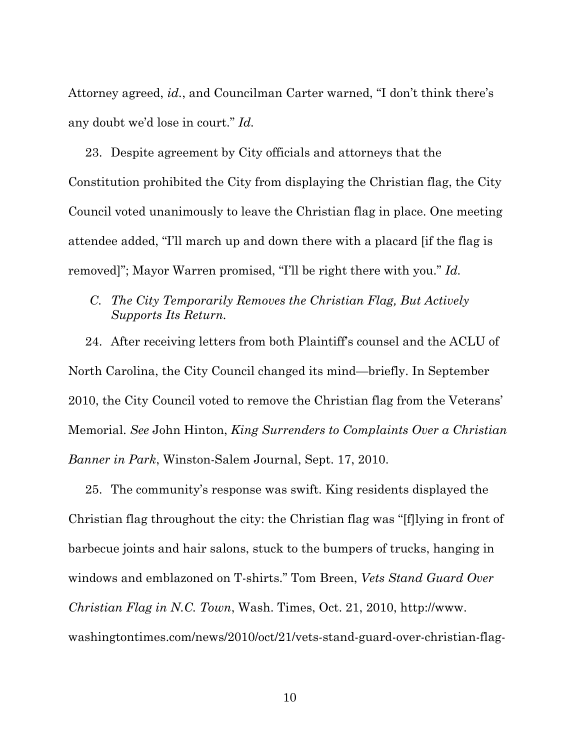Attorney agreed, *id.*, and Councilman Carter warned, "I don't think there's any doubt we'd lose in court." *Id.*

23. Despite agreement by City officials and attorneys that the Constitution prohibited the City from displaying the Christian flag, the City Council voted unanimously to leave the Christian flag in place. One meeting attendee added, "I'll march up and down there with a placard [if the flag is removed]"; Mayor Warren promised, "I'll be right there with you." *Id.*

# *C. The City Temporarily Removes the Christian Flag, But Actively Supports Its Return.*

24. After receiving letters from both Plaintiff's counsel and the ACLU of North Carolina, the City Council changed its mind—briefly. In September 2010, the City Council voted to remove the Christian flag from the Veterans' Memorial. *See* John Hinton, *King Surrenders to Complaints Over a Christian Banner in Park*, Winston-Salem Journal, Sept. 17, 2010.

25. The community's response was swift. King residents displayed the Christian flag throughout the city: the Christian flag was "[f]lying in front of barbecue joints and hair salons, stuck to the bumpers of trucks, hanging in windows and emblazoned on T-shirts." Tom Breen, *Vets Stand Guard Over Christian Flag in N.C. Town*, Wash. Times, Oct. 21, 2010, http://www. washingtontimes.com/news/2010/oct/21/vets-stand-guard-over-christian-flag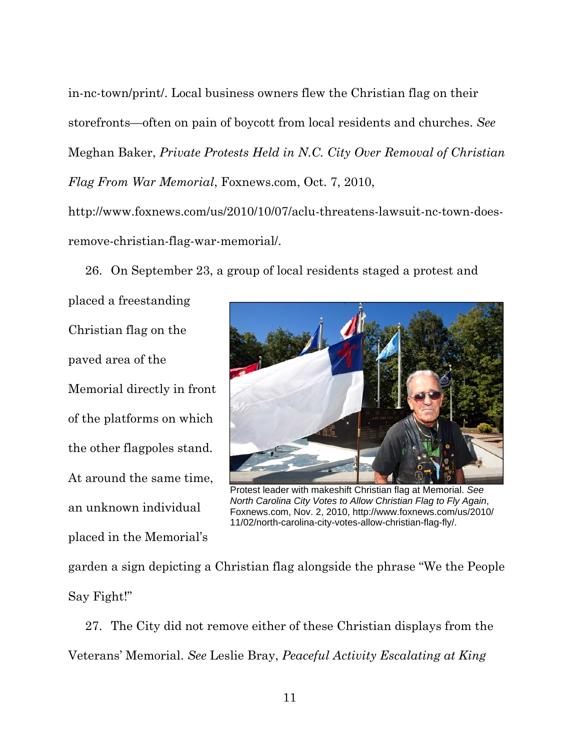in-nc-town/print/. Local business owners flew the Christian flag on their storefronts—often on pain of boycott from local residents and churches. *See*  Meghan Baker, *Private Protests Held in N.C. City Over Removal of Christian Flag From War Memorial*, Foxnews.com, Oct. 7, 2010,

http://www.foxnews.com/us/2010/10/07/aclu-threatens-lawsuit-nc-town-doesremove-christian-flag-war-memorial/.

26. On September 23, a group of local residents staged a protest and

placed a freestanding Christian flag on the paved area of the Memorial directly in front of the platforms on which the other flagpoles stand. At around the same time, an unknown individual placed in the Memorial's



Protest leader with makeshift Christian flag at Memorial. *See North Carolina City Votes to Allow Christian Flag to Fly Again*, Foxnews.com, Nov. 2, 2010, http://www.foxnews.com/us/2010/ 11/02/north-carolina-city-votes-allow-christian-flag-fly/.

garden a sign depicting a Christian flag alongside the phrase "We the People Say Fight!"

27. The City did not remove either of these Christian displays from the Veterans' Memorial. *See* Leslie Bray, *Peaceful Activity Escalating at King*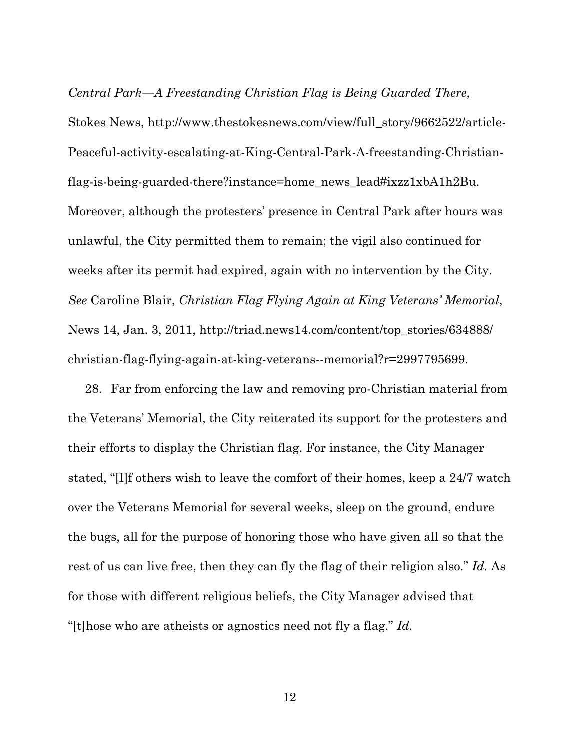#### *Central Park—A Freestanding Christian Flag is Being Guarded There*,

Stokes News, http://www.thestokesnews.com/view/full\_story/9662522/article-Peaceful-activity-escalating-at-King-Central-Park-A-freestanding-Christianflag-is-being-guarded-there?instance=home\_news\_lead#ixzz1xbA1h2Bu. Moreover, although the protesters' presence in Central Park after hours was unlawful, the City permitted them to remain; the vigil also continued for weeks after its permit had expired, again with no intervention by the City. *See* Caroline Blair, *Christian Flag Flying Again at King Veterans' Memorial*, News 14, Jan. 3, 2011, http://triad.news14.com/content/top\_stories/634888/ christian-flag-flying-again-at-king-veterans--memorial?r=2997795699.

28. Far from enforcing the law and removing pro-Christian material from the Veterans' Memorial, the City reiterated its support for the protesters and their efforts to display the Christian flag. For instance, the City Manager stated, "[I]f others wish to leave the comfort of their homes, keep a 24/7 watch over the Veterans Memorial for several weeks, sleep on the ground, endure the bugs, all for the purpose of honoring those who have given all so that the rest of us can live free, then they can fly the flag of their religion also." *Id.* As for those with different religious beliefs, the City Manager advised that "[t]hose who are atheists or agnostics need not fly a flag." *Id.*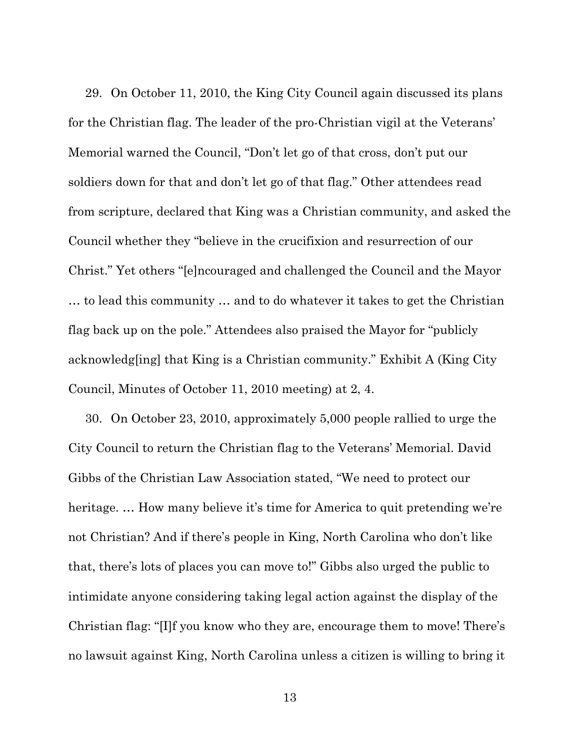29. On October 11, 2010, the King City Council again discussed its plans for the Christian flag. The leader of the pro-Christian vigil at the Veterans' Memorial warned the Council, "Don't let go of that cross, don't put our soldiers down for that and don't let go of that flag." Other attendees read from scripture, declared that King was a Christian community, and asked the Council whether they "believe in the crucifixion and resurrection of our Christ." Yet others "[e]ncouraged and challenged the Council and the Mayor … to lead this community … and to do whatever it takes to get the Christian flag back up on the pole." Attendees also praised the Mayor for "publicly acknowledg[ing] that King is a Christian community." Exhibit A (King City Council, Minutes of October 11, 2010 meeting) at 2, 4.

30. On October 23, 2010, approximately 5,000 people rallied to urge the City Council to return the Christian flag to the Veterans' Memorial. David Gibbs of the Christian Law Association stated, "We need to protect our heritage. ... How many believe it's time for America to quit pretending we're not Christian? And if there's people in King, North Carolina who don't like that, there's lots of places you can move to!" Gibbs also urged the public to intimidate anyone considering taking legal action against the display of the Christian flag: "[I]f you know who they are, encourage them to move! There's no lawsuit against King, North Carolina unless a citizen is willing to bring it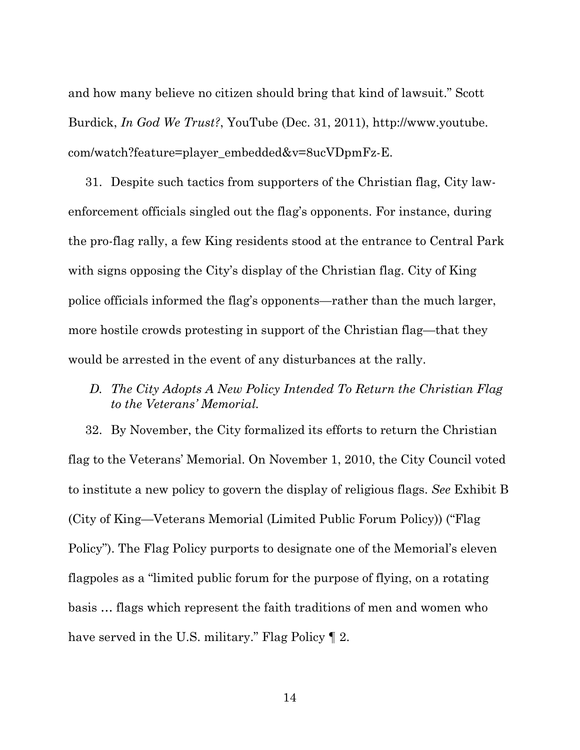and how many believe no citizen should bring that kind of lawsuit." Scott Burdick, *In God We Trust?*, YouTube (Dec. 31, 2011), http://www.youtube. com/watch?feature=player\_embedded&v=8ucVDpmFz-E.

31. Despite such tactics from supporters of the Christian flag, City lawenforcement officials singled out the flag's opponents. For instance, during the pro-flag rally, a few King residents stood at the entrance to Central Park with signs opposing the City's display of the Christian flag. City of King police officials informed the flag's opponents—rather than the much larger, more hostile crowds protesting in support of the Christian flag—that they would be arrested in the event of any disturbances at the rally.

## *D. The City Adopts A New Policy Intended To Return the Christian Flag to the Veterans' Memorial.*

32. By November, the City formalized its efforts to return the Christian flag to the Veterans' Memorial. On November 1, 2010, the City Council voted to institute a new policy to govern the display of religious flags. *See* Exhibit B (City of King—Veterans Memorial (Limited Public Forum Policy)) ("Flag Policy"). The Flag Policy purports to designate one of the Memorial's eleven flagpoles as a "limited public forum for the purpose of flying, on a rotating basis … flags which represent the faith traditions of men and women who have served in the U.S. military." Flag Policy  $\P$  2.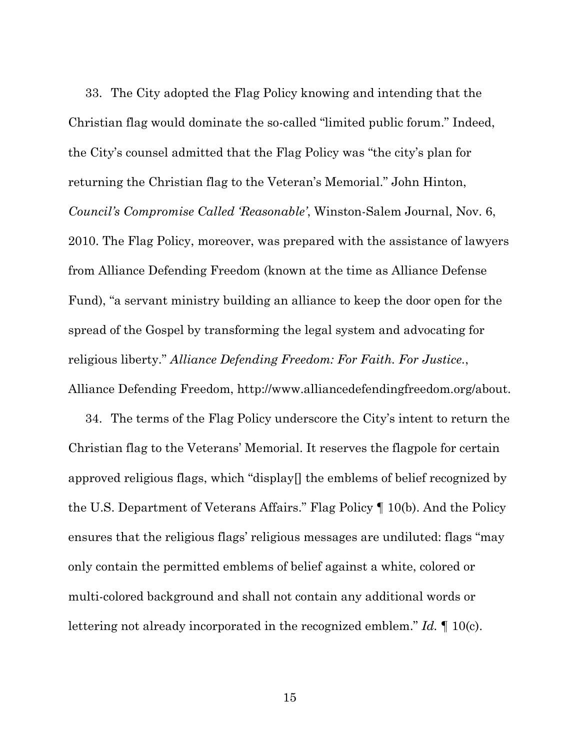33. The City adopted the Flag Policy knowing and intending that the Christian flag would dominate the so-called "limited public forum." Indeed, the City's counsel admitted that the Flag Policy was "the city's plan for returning the Christian flag to the Veteran's Memorial." John Hinton, *Council's Compromise Called 'Reasonable'*, Winston-Salem Journal, Nov. 6, 2010. The Flag Policy, moreover, was prepared with the assistance of lawyers from Alliance Defending Freedom (known at the time as Alliance Defense Fund), "a servant ministry building an alliance to keep the door open for the spread of the Gospel by transforming the legal system and advocating for religious liberty." *Alliance Defending Freedom: For Faith. For Justice.*, Alliance Defending Freedom, http://www.alliancedefendingfreedom.org/about.

34. The terms of the Flag Policy underscore the City's intent to return the Christian flag to the Veterans' Memorial. It reserves the flagpole for certain approved religious flags, which "display[] the emblems of belief recognized by the U.S. Department of Veterans Affairs." Flag Policy ¶ 10(b). And the Policy ensures that the religious flags' religious messages are undiluted: flags "may only contain the permitted emblems of belief against a white, colored or multi-colored background and shall not contain any additional words or lettering not already incorporated in the recognized emblem." *Id.* ¶ 10(c).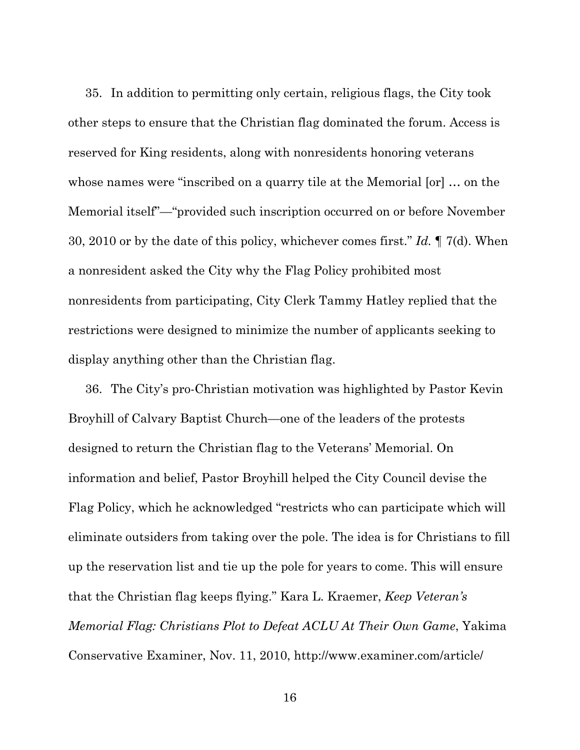35. In addition to permitting only certain, religious flags, the City took other steps to ensure that the Christian flag dominated the forum. Access is reserved for King residents, along with nonresidents honoring veterans whose names were "inscribed on a quarry tile at the Memorial [or] … on the Memorial itself"—"provided such inscription occurred on or before November 30, 2010 or by the date of this policy, whichever comes first." *Id.* ¶ 7(d). When a nonresident asked the City why the Flag Policy prohibited most nonresidents from participating, City Clerk Tammy Hatley replied that the restrictions were designed to minimize the number of applicants seeking to display anything other than the Christian flag.

36. The City's pro-Christian motivation was highlighted by Pastor Kevin Broyhill of Calvary Baptist Church—one of the leaders of the protests designed to return the Christian flag to the Veterans' Memorial. On information and belief, Pastor Broyhill helped the City Council devise the Flag Policy, which he acknowledged "restricts who can participate which will eliminate outsiders from taking over the pole. The idea is for Christians to fill up the reservation list and tie up the pole for years to come. This will ensure that the Christian flag keeps flying." Kara L. Kraemer, *Keep Veteran's Memorial Flag: Christians Plot to Defeat ACLU At Their Own Game*, Yakima Conservative Examiner, Nov. 11, 2010, http://www.examiner.com/article/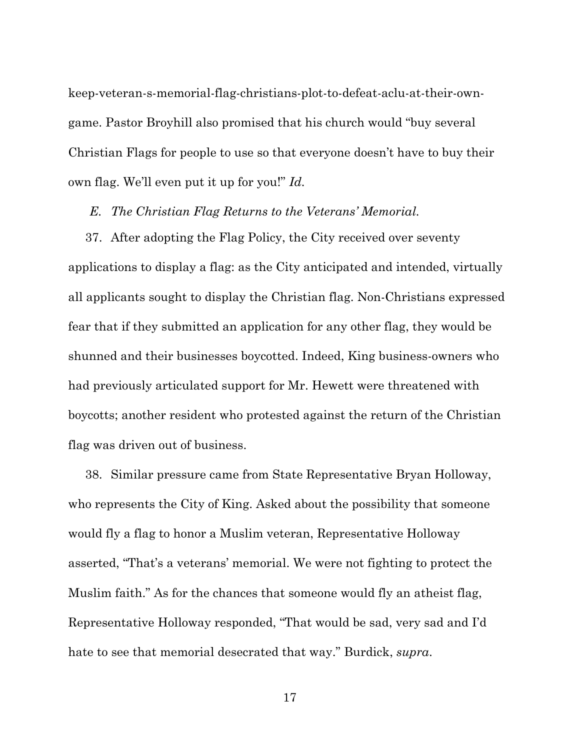keep-veteran-s-memorial-flag-christians-plot-to-defeat-aclu-at-their-owngame. Pastor Broyhill also promised that his church would "buy several Christian Flags for people to use so that everyone doesn't have to buy their own flag. We'll even put it up for you!" *Id.* 

#### *E. The Christian Flag Returns to the Veterans' Memorial.*

37. After adopting the Flag Policy, the City received over seventy applications to display a flag: as the City anticipated and intended, virtually all applicants sought to display the Christian flag. Non-Christians expressed fear that if they submitted an application for any other flag, they would be shunned and their businesses boycotted. Indeed, King business-owners who had previously articulated support for Mr. Hewett were threatened with boycotts; another resident who protested against the return of the Christian flag was driven out of business.

38. Similar pressure came from State Representative Bryan Holloway, who represents the City of King. Asked about the possibility that someone would fly a flag to honor a Muslim veteran, Representative Holloway asserted, "That's a veterans' memorial. We were not fighting to protect the Muslim faith." As for the chances that someone would fly an atheist flag, Representative Holloway responded, "That would be sad, very sad and I'd hate to see that memorial desecrated that way." Burdick, *supra*.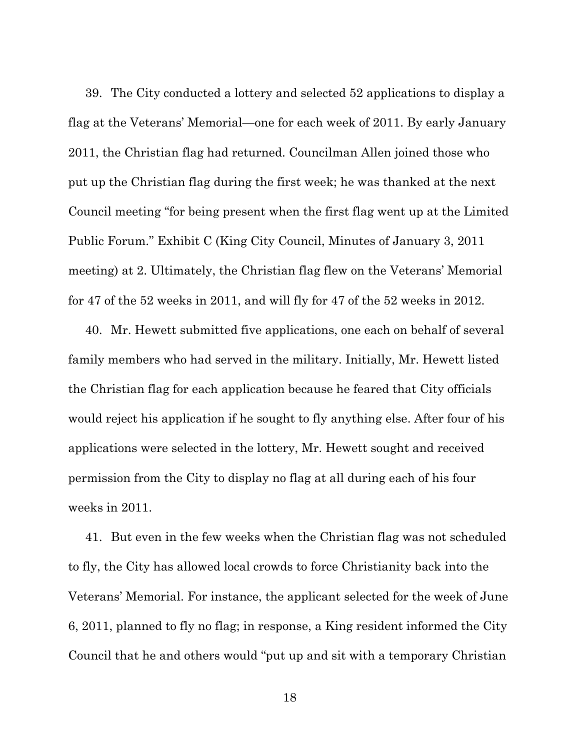39. The City conducted a lottery and selected 52 applications to display a flag at the Veterans' Memorial—one for each week of 2011. By early January 2011, the Christian flag had returned. Councilman Allen joined those who put up the Christian flag during the first week; he was thanked at the next Council meeting "for being present when the first flag went up at the Limited Public Forum." Exhibit C (King City Council, Minutes of January 3, 2011 meeting) at 2. Ultimately, the Christian flag flew on the Veterans' Memorial for 47 of the 52 weeks in 2011, and will fly for 47 of the 52 weeks in 2012.

40. Mr. Hewett submitted five applications, one each on behalf of several family members who had served in the military. Initially, Mr. Hewett listed the Christian flag for each application because he feared that City officials would reject his application if he sought to fly anything else. After four of his applications were selected in the lottery, Mr. Hewett sought and received permission from the City to display no flag at all during each of his four weeks in 2011.

41. But even in the few weeks when the Christian flag was not scheduled to fly, the City has allowed local crowds to force Christianity back into the Veterans' Memorial. For instance, the applicant selected for the week of June 6, 2011, planned to fly no flag; in response, a King resident informed the City Council that he and others would "put up and sit with a temporary Christian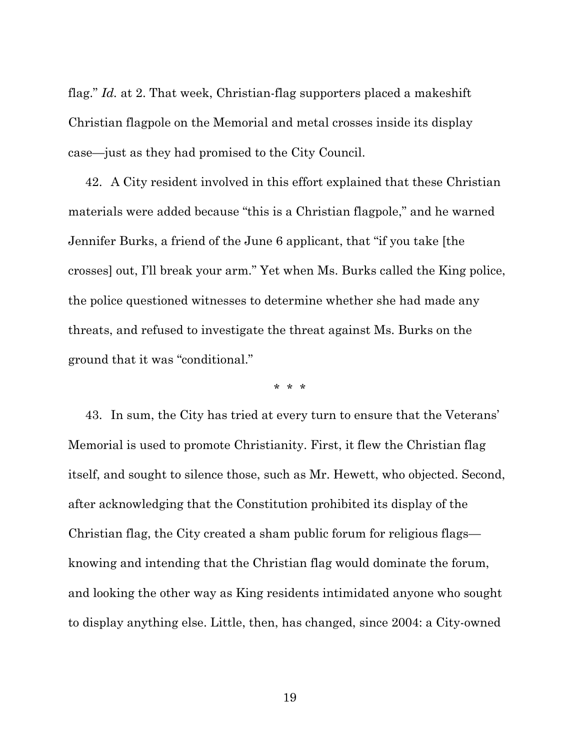flag." *Id.* at 2. That week, Christian-flag supporters placed a makeshift Christian flagpole on the Memorial and metal crosses inside its display case—just as they had promised to the City Council.

42. A City resident involved in this effort explained that these Christian materials were added because "this is a Christian flagpole," and he warned Jennifer Burks, a friend of the June 6 applicant, that "if you take [the crosses] out, I'll break your arm." Yet when Ms. Burks called the King police, the police questioned witnesses to determine whether she had made any threats, and refused to investigate the threat against Ms. Burks on the ground that it was "conditional."

\* \* \*

43. In sum, the City has tried at every turn to ensure that the Veterans' Memorial is used to promote Christianity. First, it flew the Christian flag itself, and sought to silence those, such as Mr. Hewett, who objected. Second, after acknowledging that the Constitution prohibited its display of the Christian flag, the City created a sham public forum for religious flags knowing and intending that the Christian flag would dominate the forum, and looking the other way as King residents intimidated anyone who sought to display anything else. Little, then, has changed, since 2004: a City-owned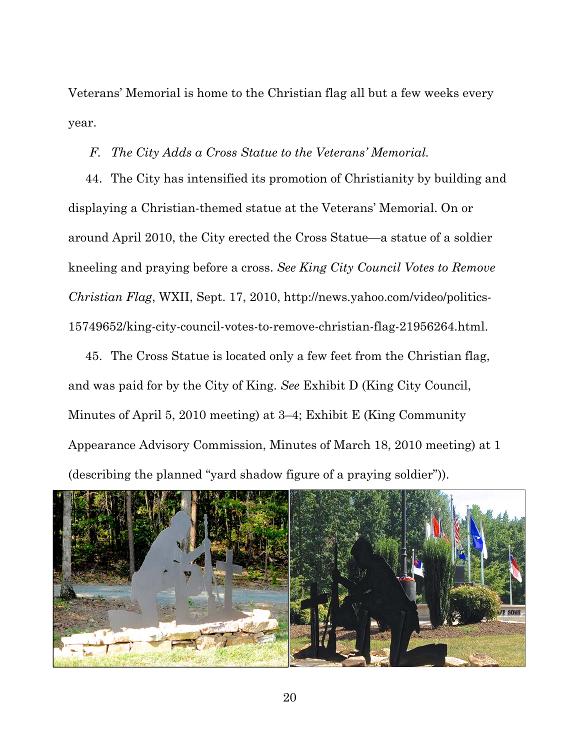Veterans' Memorial is home to the Christian flag all but a few weeks every year.

## *F. The City Adds a Cross Statue to the Veterans' Memorial.*

44. The City has intensified its promotion of Christianity by building and displaying a Christian-themed statue at the Veterans' Memorial. On or around April 2010, the City erected the Cross Statue—a statue of a soldier kneeling and praying before a cross. *See King City Council Votes to Remove Christian Flag*, WXII, Sept. 17, 2010, http://news.yahoo.com/video/politics-15749652/king-city-council-votes-to-remove-christian-flag-21956264.html.

45. The Cross Statue is located only a few feet from the Christian flag, and was paid for by the City of King. *See* Exhibit D (King City Council, Minutes of April 5, 2010 meeting) at 3–4; Exhibit E (King Community Appearance Advisory Commission, Minutes of March 18, 2010 meeting) at 1 (describing the planned "yard shadow figure of a praying soldier")).

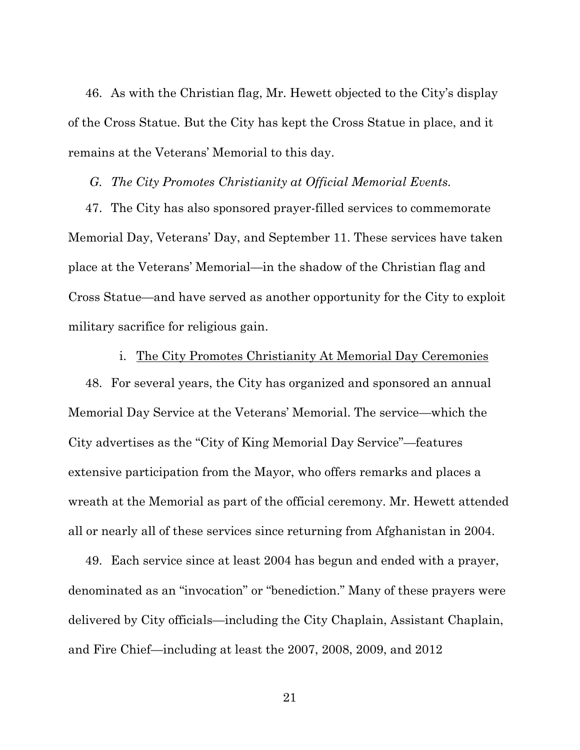46. As with the Christian flag, Mr. Hewett objected to the City's display of the Cross Statue. But the City has kept the Cross Statue in place, and it remains at the Veterans' Memorial to this day.

*G. The City Promotes Christianity at Official Memorial Events.* 

47. The City has also sponsored prayer-filled services to commemorate Memorial Day, Veterans' Day, and September 11. These services have taken place at the Veterans' Memorial—in the shadow of the Christian flag and Cross Statue—and have served as another opportunity for the City to exploit military sacrifice for religious gain.

i. The City Promotes Christianity At Memorial Day Ceremonies

48. For several years, the City has organized and sponsored an annual Memorial Day Service at the Veterans' Memorial. The service—which the City advertises as the "City of King Memorial Day Service"—features extensive participation from the Mayor, who offers remarks and places a wreath at the Memorial as part of the official ceremony. Mr. Hewett attended all or nearly all of these services since returning from Afghanistan in 2004.

49. Each service since at least 2004 has begun and ended with a prayer, denominated as an "invocation" or "benediction." Many of these prayers were delivered by City officials—including the City Chaplain, Assistant Chaplain, and Fire Chief—including at least the 2007, 2008, 2009, and 2012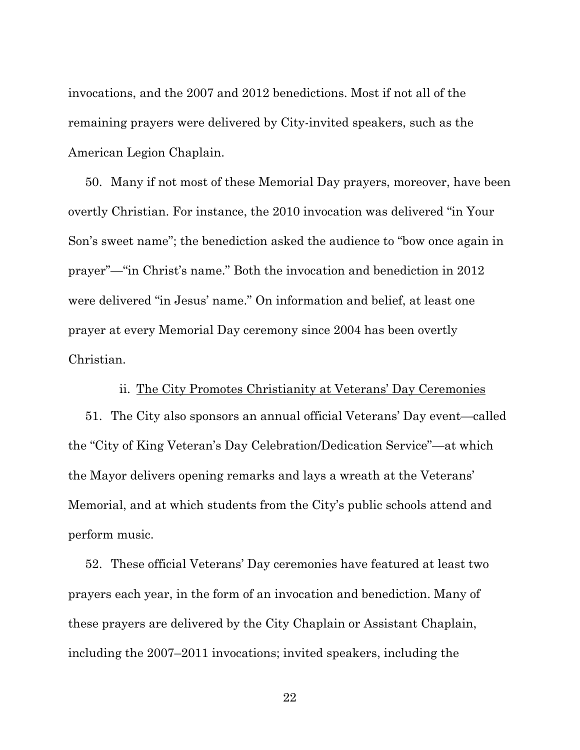invocations, and the 2007 and 2012 benedictions. Most if not all of the remaining prayers were delivered by City-invited speakers, such as the American Legion Chaplain.

50. Many if not most of these Memorial Day prayers, moreover, have been overtly Christian. For instance, the 2010 invocation was delivered "in Your Son's sweet name"; the benediction asked the audience to "bow once again in prayer"—"in Christ's name." Both the invocation and benediction in 2012 were delivered "in Jesus' name." On information and belief, at least one prayer at every Memorial Day ceremony since 2004 has been overtly Christian.

ii. The City Promotes Christianity at Veterans' Day Ceremonies 51. The City also sponsors an annual official Veterans' Day event—called the "City of King Veteran's Day Celebration/Dedication Service"—at which the Mayor delivers opening remarks and lays a wreath at the Veterans' Memorial, and at which students from the City's public schools attend and perform music.

52. These official Veterans' Day ceremonies have featured at least two prayers each year, in the form of an invocation and benediction. Many of these prayers are delivered by the City Chaplain or Assistant Chaplain, including the 2007–2011 invocations; invited speakers, including the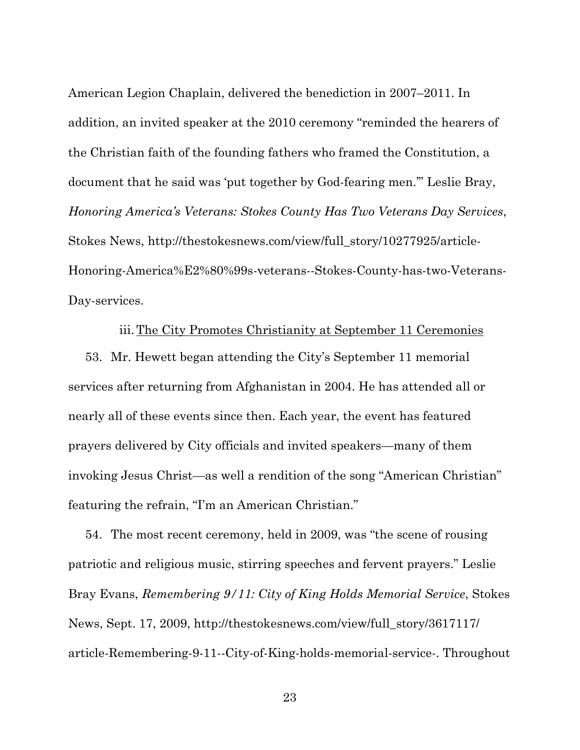American Legion Chaplain, delivered the benediction in 2007–2011. In addition, an invited speaker at the 2010 ceremony "reminded the hearers of the Christian faith of the founding fathers who framed the Constitution, a document that he said was 'put together by God-fearing men.'" Leslie Bray, *Honoring America's Veterans: Stokes County Has Two Veterans Day Services*, Stokes News, http://thestokesnews.com/view/full\_story/10277925/article-Honoring-America%E2%80%99s-veterans--Stokes-County-has-two-Veterans-Day-services.

iii.The City Promotes Christianity at September 11 Ceremonies

53. Mr. Hewett began attending the City's September 11 memorial services after returning from Afghanistan in 2004. He has attended all or nearly all of these events since then. Each year, the event has featured prayers delivered by City officials and invited speakers—many of them invoking Jesus Christ—as well a rendition of the song "American Christian" featuring the refrain, "I'm an American Christian."

54. The most recent ceremony, held in 2009, was "the scene of rousing patriotic and religious music, stirring speeches and fervent prayers." Leslie Bray Evans, *Remembering 9/11: City of King Holds Memorial Service*, Stokes News, Sept. 17, 2009, http://thestokesnews.com/view/full\_story/3617117/ article-Remembering-9-11--City-of-King-holds-memorial-service-. Throughout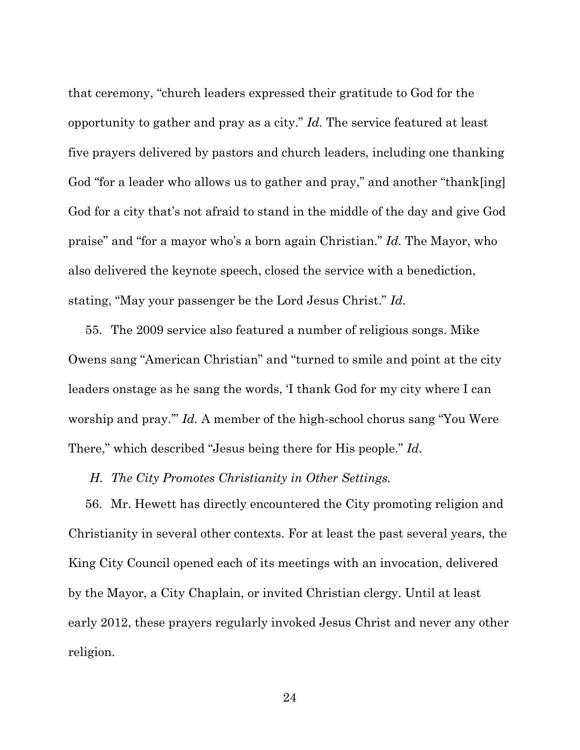that ceremony, "church leaders expressed their gratitude to God for the opportunity to gather and pray as a city." *Id.* The service featured at least five prayers delivered by pastors and church leaders, including one thanking God "for a leader who allows us to gather and pray," and another "thank[ing] God for a city that's not afraid to stand in the middle of the day and give God praise" and "for a mayor who's a born again Christian." *Id.* The Mayor, who also delivered the keynote speech, closed the service with a benediction, stating, "May your passenger be the Lord Jesus Christ." *Id.*

55. The 2009 service also featured a number of religious songs. Mike Owens sang "American Christian" and "turned to smile and point at the city leaders onstage as he sang the words, 'I thank God for my city where I can worship and pray.'" *Id.* A member of the high-school chorus sang "You Were There," which described "Jesus being there for His people." *Id.*

#### *H. The City Promotes Christianity in Other Settings.*

56. Mr. Hewett has directly encountered the City promoting religion and Christianity in several other contexts. For at least the past several years, the King City Council opened each of its meetings with an invocation, delivered by the Mayor, a City Chaplain, or invited Christian clergy. Until at least early 2012, these prayers regularly invoked Jesus Christ and never any other religion.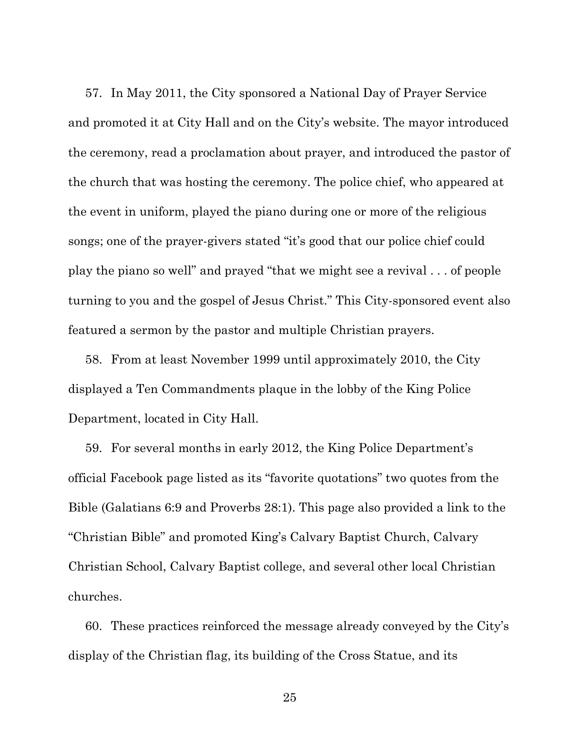57. In May 2011, the City sponsored a National Day of Prayer Service and promoted it at City Hall and on the City's website. The mayor introduced the ceremony, read a proclamation about prayer, and introduced the pastor of the church that was hosting the ceremony. The police chief, who appeared at the event in uniform, played the piano during one or more of the religious songs; one of the prayer-givers stated "it's good that our police chief could play the piano so well" and prayed "that we might see a revival . . . of people turning to you and the gospel of Jesus Christ." This City-sponsored event also featured a sermon by the pastor and multiple Christian prayers.

58. From at least November 1999 until approximately 2010, the City displayed a Ten Commandments plaque in the lobby of the King Police Department, located in City Hall.

59. For several months in early 2012, the King Police Department's official Facebook page listed as its "favorite quotations" two quotes from the Bible (Galatians 6:9 and Proverbs 28:1). This page also provided a link to the "Christian Bible" and promoted King's Calvary Baptist Church, Calvary Christian School, Calvary Baptist college, and several other local Christian churches.

60. These practices reinforced the message already conveyed by the City's display of the Christian flag, its building of the Cross Statue, and its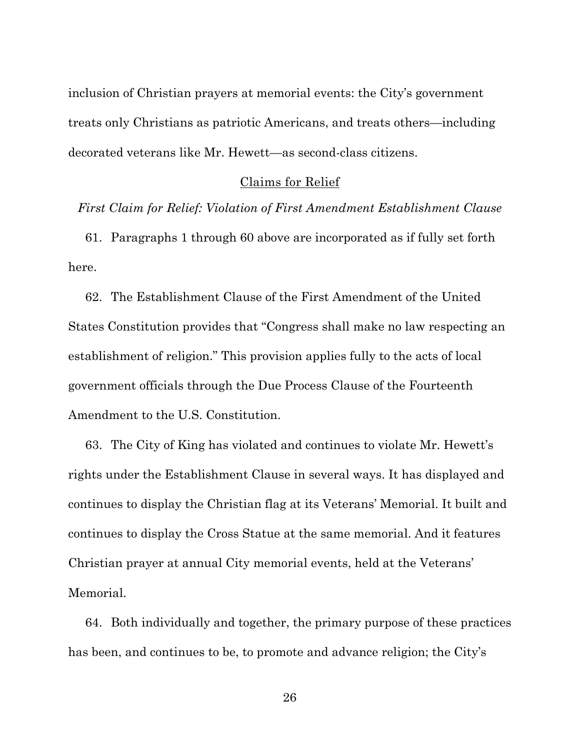inclusion of Christian prayers at memorial events: the City's government treats only Christians as patriotic Americans, and treats others—including decorated veterans like Mr. Hewett—as second-class citizens.

#### Claims for Relief

*First Claim for Relief: Violation of First Amendment Establishment Clause* 

61. Paragraphs 1 through 60 above are incorporated as if fully set forth here.

62. The Establishment Clause of the First Amendment of the United States Constitution provides that "Congress shall make no law respecting an establishment of religion." This provision applies fully to the acts of local government officials through the Due Process Clause of the Fourteenth Amendment to the U.S. Constitution.

63. The City of King has violated and continues to violate Mr. Hewett's rights under the Establishment Clause in several ways. It has displayed and continues to display the Christian flag at its Veterans' Memorial. It built and continues to display the Cross Statue at the same memorial. And it features Christian prayer at annual City memorial events, held at the Veterans' Memorial.

64. Both individually and together, the primary purpose of these practices has been, and continues to be, to promote and advance religion; the City's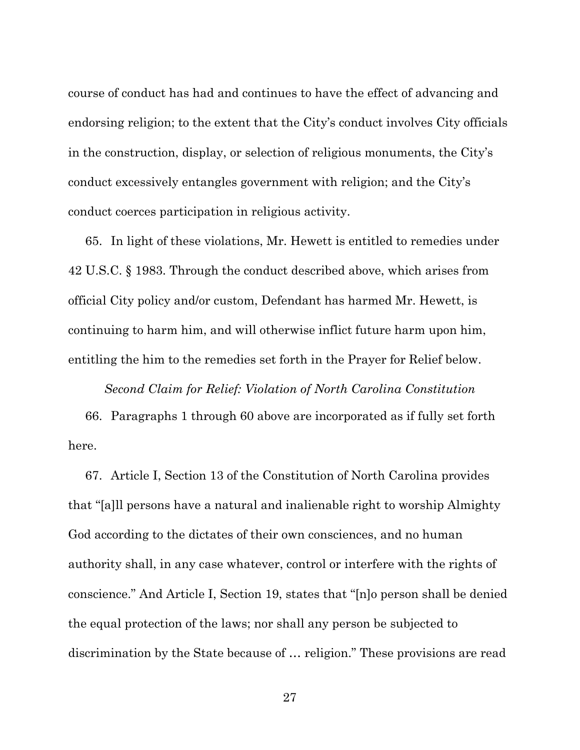course of conduct has had and continues to have the effect of advancing and endorsing religion; to the extent that the City's conduct involves City officials in the construction, display, or selection of religious monuments, the City's conduct excessively entangles government with religion; and the City's conduct coerces participation in religious activity.

65. In light of these violations, Mr. Hewett is entitled to remedies under 42 U.S.C. § 1983. Through the conduct described above, which arises from official City policy and/or custom, Defendant has harmed Mr. Hewett, is continuing to harm him, and will otherwise inflict future harm upon him, entitling the him to the remedies set forth in the Prayer for Relief below.

#### *Second Claim for Relief: Violation of North Carolina Constitution*

66. Paragraphs 1 through 60 above are incorporated as if fully set forth here.

67. Article I, Section 13 of the Constitution of North Carolina provides that "[a]ll persons have a natural and inalienable right to worship Almighty God according to the dictates of their own consciences, and no human authority shall, in any case whatever, control or interfere with the rights of conscience." And Article I, Section 19, states that "[n]o person shall be denied the equal protection of the laws; nor shall any person be subjected to discrimination by the State because of … religion." These provisions are read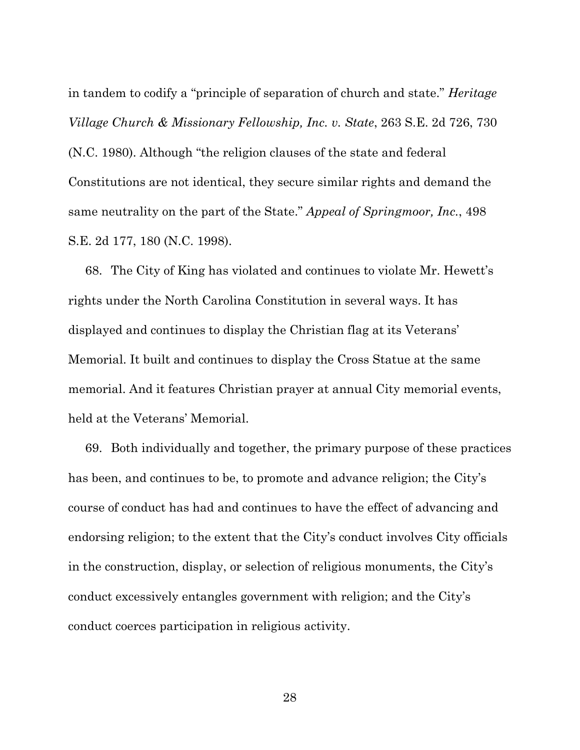in tandem to codify a "principle of separation of church and state." *Heritage Village Church & Missionary Fellowship, Inc. v. State*, 263 S.E. 2d 726, 730 (N.C. 1980). Although "the religion clauses of the state and federal Constitutions are not identical, they secure similar rights and demand the same neutrality on the part of the State." *Appeal of Springmoor, Inc.*, 498 S.E. 2d 177, 180 (N.C. 1998).

68. The City of King has violated and continues to violate Mr. Hewett's rights under the North Carolina Constitution in several ways. It has displayed and continues to display the Christian flag at its Veterans' Memorial. It built and continues to display the Cross Statue at the same memorial. And it features Christian prayer at annual City memorial events, held at the Veterans' Memorial.

69. Both individually and together, the primary purpose of these practices has been, and continues to be, to promote and advance religion; the City's course of conduct has had and continues to have the effect of advancing and endorsing religion; to the extent that the City's conduct involves City officials in the construction, display, or selection of religious monuments, the City's conduct excessively entangles government with religion; and the City's conduct coerces participation in religious activity.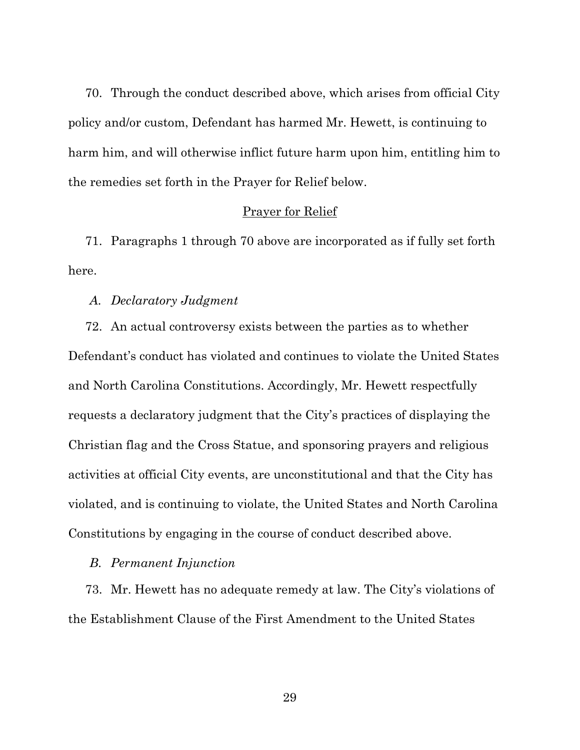70. Through the conduct described above, which arises from official City policy and/or custom, Defendant has harmed Mr. Hewett, is continuing to harm him, and will otherwise inflict future harm upon him, entitling him to the remedies set forth in the Prayer for Relief below.

### Prayer for Relief

71. Paragraphs 1 through 70 above are incorporated as if fully set forth here.

#### *A. Declaratory Judgment*

72. An actual controversy exists between the parties as to whether Defendant's conduct has violated and continues to violate the United States and North Carolina Constitutions. Accordingly, Mr. Hewett respectfully requests a declaratory judgment that the City's practices of displaying the Christian flag and the Cross Statue, and sponsoring prayers and religious activities at official City events, are unconstitutional and that the City has violated, and is continuing to violate, the United States and North Carolina Constitutions by engaging in the course of conduct described above.

#### *B. Permanent Injunction*

73. Mr. Hewett has no adequate remedy at law. The City's violations of the Establishment Clause of the First Amendment to the United States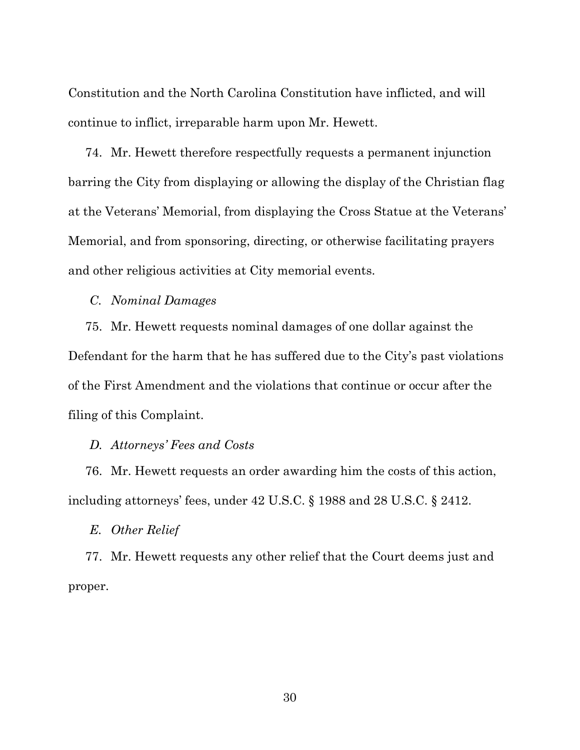Constitution and the North Carolina Constitution have inflicted, and will continue to inflict, irreparable harm upon Mr. Hewett.

74. Mr. Hewett therefore respectfully requests a permanent injunction barring the City from displaying or allowing the display of the Christian flag at the Veterans' Memorial, from displaying the Cross Statue at the Veterans' Memorial, and from sponsoring, directing, or otherwise facilitating prayers and other religious activities at City memorial events.

*C. Nominal Damages*

75. Mr. Hewett requests nominal damages of one dollar against the Defendant for the harm that he has suffered due to the City's past violations of the First Amendment and the violations that continue or occur after the filing of this Complaint.

### *D. Attorneys' Fees and Costs*

76. Mr. Hewett requests an order awarding him the costs of this action, including attorneys' fees, under 42 U.S.C. § 1988 and 28 U.S.C. § 2412.

*E. Other Relief*

77. Mr. Hewett requests any other relief that the Court deems just and proper.